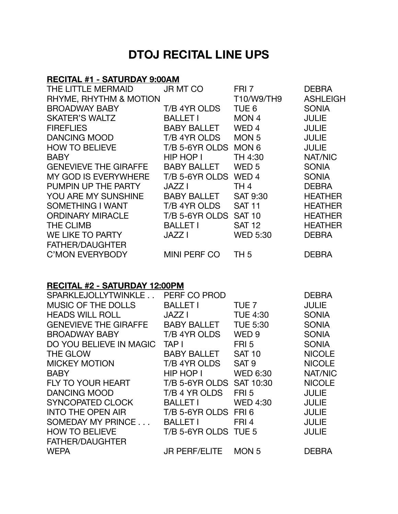# **DTOJ RECITAL LINE UPS**

## **RECITAL #1 - SATURDAY 9:00AM**

| THE LITTLE MERMAID           | <b>JR MT CO</b>       | FRI <sub>7</sub> | <b>DEBRA</b>    |
|------------------------------|-----------------------|------------------|-----------------|
| RHYME, RHYTHM & MOTION       |                       | T10/W9/TH9       | <b>ASHLEIGH</b> |
| <b>BROADWAY BABY</b>         | T/B 4YR OLDS          | TUE <sub>6</sub> | <b>SONIA</b>    |
| <b>SKATER'S WALTZ</b>        | <b>BALLET I</b>       | MON <sub>4</sub> | <b>JULIE</b>    |
| <b>FIREFLIES</b>             | <b>BABY BALLET</b>    | WED <sub>4</sub> | <b>JULIE</b>    |
| <b>DANCING MOOD</b>          | T/B 4YR OLDS          | MON <sub>5</sub> | <b>JULIE</b>    |
| <b>HOW TO BELIEVE</b>        | T/B 5-6YR OLDS        | MON <sub>6</sub> | <b>JULIE</b>    |
| <b>BABY</b>                  | HIP HOP I             | TH 4:30          | NAT/NIC         |
| <b>GENEVIEVE THE GIRAFFE</b> | <b>BABY BALLET</b>    | WED <sub>5</sub> | <b>SONIA</b>    |
| <b>MY GOD IS EVERYWHERE</b>  | T/B 5-6YR OLDS        | WED <sub>4</sub> | <b>SONIA</b>    |
| PUMPIN UP THE PARTY          | <b>JAZZ I</b>         | TH <sub>4</sub>  | <b>DEBRA</b>    |
| YOU ARE MY SUNSHINE          | <b>BABY BALLET</b>    | <b>SAT 9:30</b>  | <b>HEATHER</b>  |
| SOMETHING I WANT             | T/B 4YR OLDS          | <b>SAT 11</b>    | <b>HEATHER</b>  |
| <b>ORDINARY MIRACLE</b>      | T/B 5-6YR OLDS SAT 10 |                  | <b>HEATHER</b>  |
| <b>THE CLIMB</b>             | <b>BALLET I</b>       | <b>SAT 12</b>    | <b>HEATHER</b>  |
| WE LIKE TO PARTY             | <b>JAZZ I</b>         | <b>WED 5:30</b>  | <b>DEBRA</b>    |
| <b>FATHER/DAUGHTER</b>       |                       |                  |                 |
| <b>C'MON EVERYBODY</b>       | <b>MINI PERF CO</b>   | TH 5             | <b>DEBRA</b>    |

### **RECITAL #2 - SATURDAY 12:00PM**

| SPARKLEJOLLYTWINKLE          | PERF CO PROD             |                  | <b>DEBRA</b>   |
|------------------------------|--------------------------|------------------|----------------|
| <b>MUSIC OF THE DOLLS</b>    | <b>BALLET I</b>          | TUE <sub>7</sub> | <b>JULIE</b>   |
| <b>HEADS WILL ROLL</b>       | <b>JAZZ I</b>            | <b>TUE 4:30</b>  | <b>SONIA</b>   |
| <b>GENEVIEVE THE GIRAFFE</b> | <b>BABY BALLET</b>       | <b>TUE 5:30</b>  | <b>SONIA</b>   |
| <b>BROADWAY BABY</b>         | T/B 4YR OLDS             | WED <sub>9</sub> | <b>SONIA</b>   |
| DO YOU BELIEVE IN MAGIC      | TAP I                    | FRI <sub>5</sub> | <b>SONIA</b>   |
| THE GLOW                     | <b>BABY BALLET</b>       | <b>SAT 10</b>    | <b>NICOLE</b>  |
| <b>MICKEY MOTION</b>         | T/B 4YR OLDS             | SAT <sub>9</sub> | <b>NICOLE</b>  |
| <b>BABY</b>                  | HIP HOP I                | <b>WED 6:30</b>  | <b>NAT/NIC</b> |
| <b>FLY TO YOUR HEART</b>     | T/B 5-6YR OLDS SAT 10:30 |                  | <b>NICOLE</b>  |
| <b>DANCING MOOD</b>          | T/B 4 YR OLDS            | FRI <sub>5</sub> | <b>JULIE</b>   |
| <b>SYNCOPATED CLOCK</b>      | <b>BALLET I</b>          | <b>WED 4:30</b>  | <b>JULIE</b>   |
| <b>INTO THE OPEN AIR</b>     | T/B 5-6YR OLDS           | FRI <sub>6</sub> | <b>JULIE</b>   |
| SOMEDAY MY PRINCE            | <b>BALLET I</b>          | FRI <sub>4</sub> | <b>JULIE</b>   |
| <b>HOW TO BELIEVE</b>        | T/B 5-6YR OLDS TUE 5     |                  | <b>JULIE</b>   |
| <b>FATHER/DAUGHTER</b>       |                          |                  |                |
| <b>WEPA</b>                  | <b>JR PERF/ELITE</b>     | MON <sub>5</sub> | DEBRA          |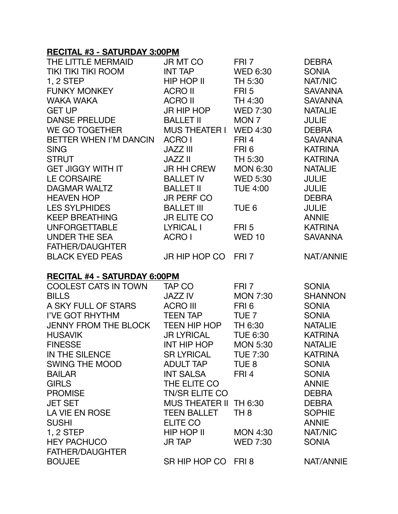## **RECITAL #3 - SATURDAY 3:00PM**

| THE LITTLE MERMAID                  | JR MT CO              | FRI 7            | <b>DEBRA</b>     |
|-------------------------------------|-----------------------|------------------|------------------|
| <b>TIKI TIKI TIKI ROOM</b>          | <b>INT TAP</b>        | <b>WED 6:30</b>  | <b>SONIA</b>     |
| 1, 2 STEP                           | HIP HOP II            | TH 5:30          | NAT/NIC          |
| <b>FUNKY MONKEY</b>                 | <b>ACRO II</b>        | FRI <sub>5</sub> | <b>SAVANNA</b>   |
| <b>WAKA WAKA</b>                    | <b>ACRO II</b>        | TH 4:30          | <b>SAVANNA</b>   |
| <b>GET UP</b>                       | JR HIP HOP            | <b>WED 7:30</b>  | <b>NATALIE</b>   |
| <b>DANSE PRELUDE</b>                | <b>BALLET II</b>      | MON <sub>7</sub> | <b>JULIE</b>     |
| WE GO TOGETHER                      | <b>MUS THEATER I</b>  | <b>WED 4:30</b>  | <b>DEBRA</b>     |
| BETTER WHEN I'M DANCIN              | ACRO I                | FRI <sub>4</sub> | <b>SAVANNA</b>   |
| <b>SING</b>                         | <b>JAZZ III</b>       | FRI 6            | <b>KATRINA</b>   |
| <b>STRUT</b>                        | JAZZ II               | TH 5:30          | <b>KATRINA</b>   |
| GET JIGGY WITH IT                   | JR HH CREW            | <b>MON 6:30</b>  | <b>NATALIE</b>   |
| <b>LE CORSAIRE</b>                  | <b>BALLET IV</b>      | <b>WED 5:30</b>  | <b>JULIE</b>     |
| <b>DAGMAR WALTZ</b>                 | <b>BALLET II</b>      | <b>TUE 4:00</b>  | <b>JULIE</b>     |
| <b>HEAVEN HOP</b>                   | <b>JR PERF CO</b>     |                  | <b>DEBRA</b>     |
| <b>LES SYLPHIDES</b>                | <b>BALLET III</b>     | TUE <sub>6</sub> | <b>JULIE</b>     |
| KEEP BREATHING                      | <b>JR ELITE CO</b>    |                  | <b>ANNIE</b>     |
| <b>UNFORGETTABLE</b>                | <b>LYRICAL I</b>      | FRI <sub>5</sub> | <b>KATRINA</b>   |
| <b>UNDER THE SEA</b>                | ACRO I                | <b>WED 10</b>    | <b>SAVANNA</b>   |
| FATHER/DAUGHTER                     |                       |                  |                  |
| <b>BLACK EYED PEAS</b>              | JR HIP HOP CO         | FRI <sub>7</sub> | <b>NAT/ANNIE</b> |
| <b>RECITAL #4 - SATURDAY 6:00PM</b> |                       |                  |                  |
| <b>COOLEST CATS IN TOWN</b>         | TAP CO                | FRI 7            | <b>SONIA</b>     |
| <b>BILLS</b>                        | JAZZ IV               | <b>MON 7:30</b>  | <b>SHANNON</b>   |
| A SKY FULL OF STARS                 | <b>ACRO III</b>       | FRI <sub>6</sub> | <b>SONIA</b>     |
| I'VE GOT RHYTHM                     | <b>TEEN TAP</b>       | TUE <sub>7</sub> | <b>SONIA</b>     |
| <b>JENNY FROM THE BLOCK</b>         | TEEN HIP HOP          | TH 6:30          | <b>NATALIE</b>   |
| <b>HUSAVIK</b>                      | <b>JR LYRICAL</b>     | <b>TUE 6:30</b>  | <b>KATRINA</b>   |
| <b>FINESSE</b>                      | <b>INT HIP HOP</b>    | <b>MON 5:30</b>  | <b>NATALIE</b>   |
| IN THE SILENCE                      | SR LYRICAL TUE 7:30   |                  | <b>KATRINA</b>   |
| <b>SWING THE MOOD</b>               | ADULT TAP             | TUE 8            | <b>SONIA</b>     |
| <b>BAILAR</b>                       | <b>INT SALSA</b>      | FRI <sub>4</sub> | <b>SONIA</b>     |
| <b>GIRLS</b>                        | THE ELITE CO          |                  | <b>ANNIE</b>     |
| <b>PROMISE</b>                      | <b>TN/SR ELITE CO</b> |                  | <b>DEBRA</b>     |
| <b>JET SET</b>                      | <b>MUS THEATER II</b> | TH 6:30          | <b>DEBRA</b>     |
| LA VIE EN ROSE                      | <b>TEEN BALLET</b>    | TH <sub>8</sub>  | <b>SOPHIE</b>    |
| <b>SUSHI</b>                        | ELITE CO              |                  | <b>ANNIE</b>     |
| 1, 2 STEP                           | HIP HOP II            | MON 4:30         | NAT/NIC          |
| <b>HEY PACHUCO</b>                  | <b>JR TAP</b>         | <b>WED 7:30</b>  | <b>SONIA</b>     |
| <b>FATHER/DAUGHTER</b>              |                       |                  |                  |
| <b>BOUJEE</b>                       | SR HIP HOP CO FRI 8   |                  | <b>NAT/ANNIE</b> |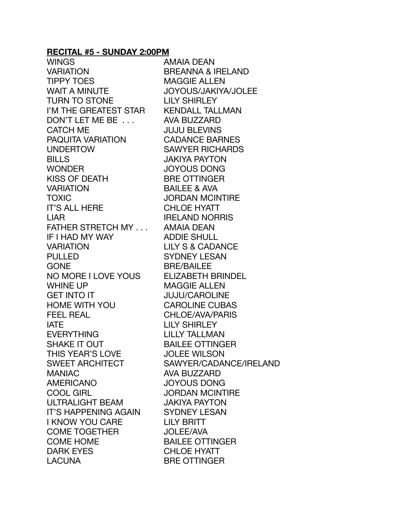#### **RECITAL #5 - SUNDAY 2:00PM**

WINGS AMAIA DEAN VARIATION BREANNA & IRELAND TIPPY TOES MAGGIE ALLEN WAIT A MINUTE JOYOUS/JAKIYA/JOLEE TURN TO STONE LILY SHIRLEY I'M THE GREATEST STAR KENDALL TALLMAN DON'T LET ME BE ... AVA BUZZARD CATCH ME JUJU BLEVINS PAQUITA VARIATION CADANCE BARNES UNDERTOW SAWYER RICHARDS BILLS JAKIYA PAYTON WONDER JOYOUS DONG KISS OF DEATH BRE OTTINGER VARIATION BAILEE & AVA TOXIC **SECURE TO A SECURE TOXIC** IT'S ALL HERE **CHLOE HYATT** LIAR **IRELAND NORRIS** FATHER STRETCH MY . . . AMAIA DEAN IF I HAD MY WAY ADDIE SHULL VARIATION LILY S & CADANCE PULLED SYDNEY LESAN GONE BRE/BAILEE NO MORE I LOVE YOUS ELIZABETH BRINDEL WHINE UP **MAGGIE ALLEN** GET INTO IT **SEEMING THE SEEMING OF SEEMING AROLINE** HOME WITH YOU CAROLINE CUBAS FEEL REAL **CHLOE/AVA/PARIS** IATE LILY SHIRLEY EVERYTHING LILLY TALLMAN SHAKE IT OUT BAILEE OTTINGER THIS YEAR'S LOVE JOLEE WILSON MANIAC AVA BUZZARD AMERICANO JOYOUS DONG COOL GIRL **SECOOL GIRL SECOOL ONEX JORDAN MCINTIRE** ULTRALIGHT BEAM JAKIYA PAYTON IT'S HAPPENING AGAIN SYDNEY LESAN I KNOW YOU CARE LILY BRITT COME TOGETHER JOLEE/AVA COME HOME **EXAMPLE STRUCK BAILEE OTTINGER** DARK EYES CHLOE HYATT LACUNA BRE OTTINGER

SWEET ARCHITECT SAWYER/CADANCE/IRELAND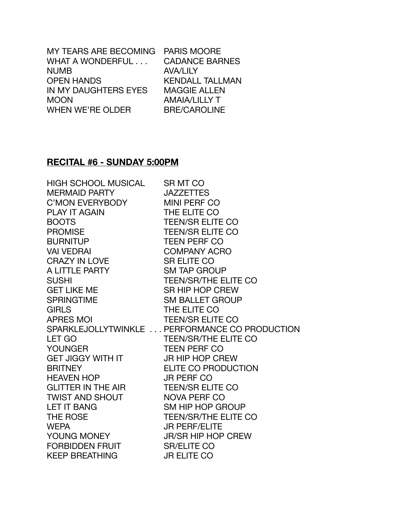| MY TEARS ARE BECOMING PARIS MOORE |                        |
|-----------------------------------|------------------------|
| WHAT A WONDERFUL                  | <b>CADANCE BARNES</b>  |
| <b>NUMB</b>                       | <b>AVA/LILY</b>        |
| <b>OPEN HANDS</b>                 | <b>KENDALL TALLMAN</b> |
| IN MY DAUGHTERS EYES              | <b>MAGGIE ALLEN</b>    |
| <b>MOON</b>                       | <b>AMAIA/LILLY T</b>   |
| <b>WHEN WE'RE OLDER</b>           | <b>BRE/CAROLINE</b>    |

#### **RECITAL #6 - SUNDAY 5:00PM**

HIGH SCHOOL MUSICAL SR MT CO MERMAID PARTY **SALL SETTLES** C'MON EVERYBODY MINI PERF CO PLAY IT AGAIN THE FLITE CO BOOTS TEEN/SR ELITE CO PROMISE TEEN/SR ELITE CO BURNITUP TEEN PERE CO VAI VEDRAI **BEEXING ACRO** CRAZY IN LOVE SR ELITE CO A LITTLE PARTY SM TAP GROUP SUSHI TEEN/SR/THE ELITE CO GET LIKE ME SR HIP HOP CREW SPRINGTIME SPRING SM BALLET GROUP GIRLS **THE ELITE CO** APRES MOING TEEN/SR ELITE CO LET GO TEEN/SR/THE ELITE CO YOUNGER TEEN PERF CO GET JIGGY WITH IT **JR HIP HOP CREW** BRITNEY **ELITE CO PRODUCTION** HEAVEN HOP JR PERF CO GLITTER IN THE AIR TEEN/SR ELITE CO TWIST AND SHOUT NOVA PERE CO LET IT BANG SM HIP HOP GROUP THE ROSE THE ROSE TEEN/SR/THE ELITE CO WEPA JR PERF/ELITE YOUNG MONEY **IR/SR HIP HOP CREW** FORBIDDEN FRUIT SR/ELITE CO KEEP BREATHING **JR ELITE CO** 

SPARKLEJOLLYTWINKLE . . . PERFORMANCE CO PRODUCTION